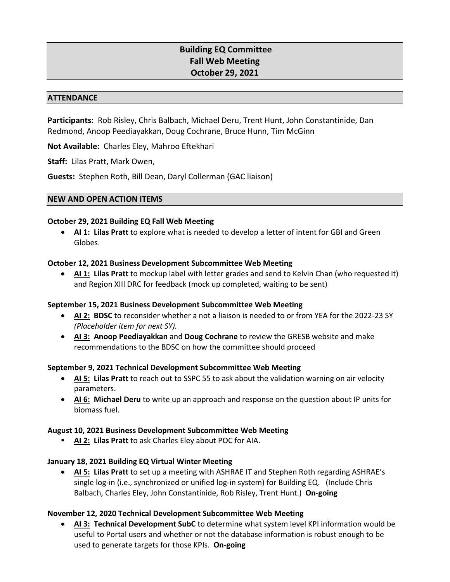# **Building EQ Committee Fall Web Meeting October 29, 2021**

#### **ATTENDANCE**

**Participants:** Rob Risley, Chris Balbach, Michael Deru, Trent Hunt, John Constantinide, Dan Redmond, Anoop Peediayakkan, Doug Cochrane, Bruce Hunn, Tim McGinn

**Not Available:** Charles Eley, Mahroo Eftekhari

**Staff:** Lilas Pratt, Mark Owen,

**Guests:** Stephen Roth, Bill Dean, Daryl Collerman (GAC liaison)

## **NEW AND OPEN ACTION ITEMS**

## **October 29, 2021 Building EQ Fall Web Meeting**

• **AI 1: Lilas Pratt** to explore what is needed to develop a letter of intent for GBI and Green Globes.

## **October 12, 2021 Business Development Subcommittee Web Meeting**

• **AI 1: Lilas Pratt** to mockup label with letter grades and send to Kelvin Chan (who requested it) and Region XIII DRC for feedback (mock up completed, waiting to be sent)

## **September 15, 2021 Business Development Subcommittee Web Meeting**

- **AI 2: BDSC** to reconsider whether a not a liaison is needed to or from YEA for the 2022-23 SY *(Placeholder item for next SY).*
- **AI 3: Anoop Peediayakkan** and **Doug Cochrane** to review the GRESB website and make recommendations to the BDSC on how the committee should proceed

## **September 9, 2021 Technical Development Subcommittee Web Meeting**

- **AI 5: Lilas Pratt** to reach out to SSPC 55 to ask about the validation warning on air velocity parameters.
- **AI 6: Michael Deru** to write up an approach and response on the question about IP units for biomass fuel.

## **August 10, 2021 Business Development Subcommittee Web Meeting**

**AI 2: Lilas Pratt** to ask Charles Eley about POC for AIA.

## **January 18, 2021 Building EQ Virtual Winter Meeting**

• **AI 5: Lilas Pratt** to set up a meeting with ASHRAE IT and Stephen Roth regarding ASHRAE's single log-in (i.e., synchronized or unified log-in system) for Building EQ. (Include Chris Balbach, Charles Eley, John Constantinide, Rob Risley, Trent Hunt.) **On-going**

## **November 12, 2020 Technical Development Subcommittee Web Meeting**

• **AI 3: Technical Development SubC** to determine what system level KPI information would be useful to Portal users and whether or not the database information is robust enough to be used to generate targets for those KPIs. **On-going**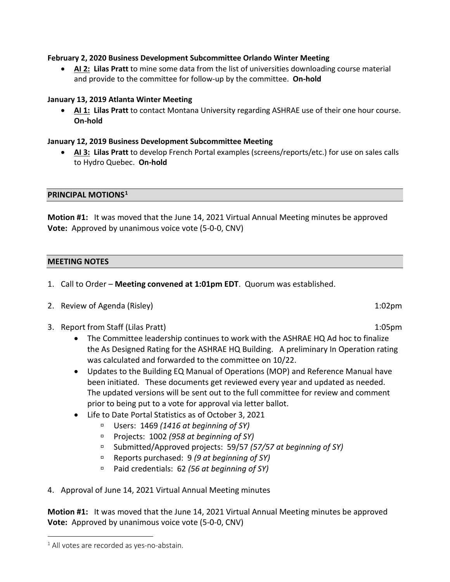# **February 2, 2020 Business Development Subcommittee Orlando Winter Meeting**

• **AI 2: Lilas Pratt** to mine some data from the list of universities downloading course material and provide to the committee for follow-up by the committee. **On-hold**

# **January 13, 2019 Atlanta Winter Meeting**

• **AI 1: Lilas Pratt** to contact Montana University regarding ASHRAE use of their one hour course. **On-hold**

# **January 12, 2019 Business Development Subcommittee Meeting**

• **AI 3: Lilas Pratt** to develop French Portal examples (screens/reports/etc.) for use on sales calls to Hydro Quebec. **On-hold**

## **PRINCIPAL MOTIONS[1](#page-1-0)**

**Motion #1:** It was moved that the June 14, 2021 Virtual Annual Meeting minutes be approved **Vote:** Approved by unanimous voice vote (5-0-0, CNV)

## **MEETING NOTES**

- 1. Call to Order **Meeting convened at 1:01pm EDT**. Quorum was established.
- 2. Review of Agenda (Risley) 1:02pm
- 3. Report from Staff (Lilas Pratt) 1:05pm
	- The Committee leadership continues to work with the ASHRAE HQ Ad hoc to finalize the As Designed Rating for the ASHRAE HQ Building. A preliminary In Operation rating was calculated and forwarded to the committee on 10/22.
	- Updates to the Building EQ Manual of Operations (MOP) and Reference Manual have been initiated. These documents get reviewed every year and updated as needed. The updated versions will be sent out to the full committee for review and comment prior to being put to a vote for approval via letter ballot.
	- Life to Date Portal Statistics as of October 3, 2021
		- Users: 1469 *(1416 at beginning of SY)*
		- Projects: 1002 *(958 at beginning of SY)*
		- Submitted/Approved projects: 59/57 *(57/57 at beginning of SY)*
		- Reports purchased: 9 *(9 at beginning of SY)*
		- Paid credentials: 62 *(56 at beginning of SY)*
- 4. Approval of June 14, 2021 Virtual Annual Meeting minutes

**Motion #1:** It was moved that the June 14, 2021 Virtual Annual Meeting minutes be approved **Vote:** Approved by unanimous voice vote (5-0-0, CNV)

<span id="page-1-0"></span> $1$  All votes are recorded as yes-no-abstain.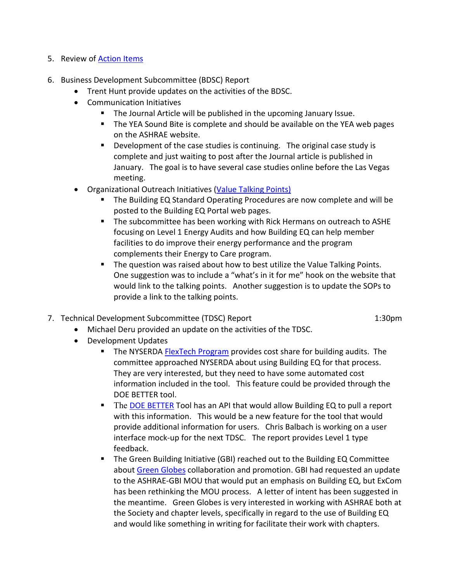- 5. Review of **Action Items**
- 6. Business Development Subcommittee (BDSC) Report
	- Trent Hunt provide updates on the activities of the BDSC.
	- Communication Initiatives
		- **The Journal Article will be published in the upcoming January Issue.**
		- The YEA Sound Bite is complete and should be available on the YEA web pages on the ASHRAE website.
		- **•** Development of the case studies is continuing. The original case study is complete and just waiting to post after the Journal article is published in January. The goal is to have several case studies online before the Las Vegas meeting.
	- Organizational Outreach Initiatives [\(Value Talking Points\)](#page-4-0)
		- The Building EQ Standard Operating Procedures are now complete and will be posted to the Building EQ Portal web pages.
		- **The subcommittee has been working with Rick Hermans on outreach to ASHE** focusing on Level 1 Energy Audits and how Building EQ can help member facilities to do improve their energy performance and the program complements their Energy to Care program.
		- **The question was raised about how to best utilize the Value Talking Points.** One suggestion was to include a "what's in it for me" hook on the website that would link to the talking points. Another suggestion is to update the SOPs to provide a link to the talking points.
- 7. Technical Development Subcommittee (TDSC) Report 1:30 and 1:30 pm

- Michael Deru provided an update on the activities of the TDSC.
- Development Updates
	- The NYSERDA [FlexTech Program](#page-7-0) provides cost share for building audits. The committee approached NYSERDA about using Building EQ for that process. They are very interested, but they need to have some automated cost information included in the tool. This feature could be provided through the DOE BETTER tool.
	- The [DOE BETTER](#page-6-0) Tool has an API that would allow Building EQ to pull a report with this information. This would be a new feature for the tool that would provide additional information for users. Chris Balbach is working on a user interface mock-up for the next TDSC. The report provides Level 1 type feedback.
	- The Green Building Initiative (GBI) reached out to the Building EQ Committee about [Green Globes](#page-8-0) collaboration and promotion. GBI had requested an update to the ASHRAE-GBI MOU that would put an emphasis on Building EQ, but ExCom has been rethinking the MOU process. A letter of intent has been suggested in the meantime. Green Globes is very interested in working with ASHRAE both at the Society and chapter levels, specifically in regard to the use of Building EQ and would like something in writing for facilitate their work with chapters.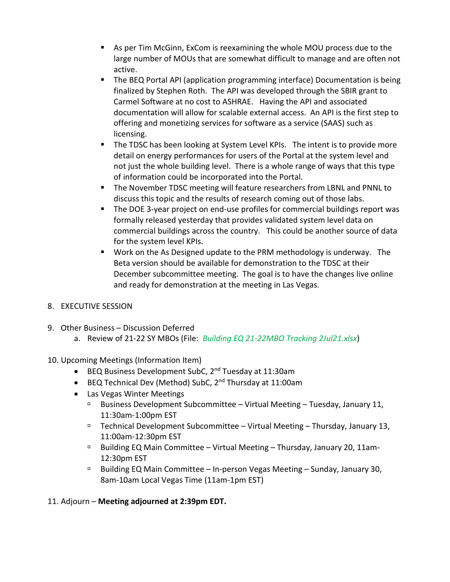- As per Tim McGinn, ExCom is reexamining the whole MOU process due to the large number of MOUs that are somewhat difficult to manage and are often not active.
- The BEQ Portal API (application programming interface) Documentation is being finalized by Stephen Roth. The API was developed through the SBIR grant to Carmel Software at no cost to ASHRAE. Having the API and associated documentation will allow for scalable external access. An API is the first step to offering and monetizing services for software as a service (SAAS) such as licensing.
- The TDSC has been looking at System Level KPIs. The intent is to provide more detail on energy performances for users of the Portal at the system level and not just the whole building level. There is a whole range of ways that this type of information could be incorporated into the Portal.
- The November TDSC meeting will feature researchers from LBNL and PNNL to discuss this topic and the results of research coming out of those labs.
- The DOE 3-year project on end-use profiles for commercial buildings report was formally released yesterday that provides validated system level data on commercial buildings across the country. This could be another source of data for the system level KPIs.
- Work on the As Designed update to the PRM methodology is underway. The Beta version should be available for demonstration to the TDSC at their December subcommittee meeting. The goal is to have the changes live online and ready for demonstration at the meeting in Las Vegas.

# 8. EXECUTIVE SESSION

- 9. Other Business Discussion Deferred
	- a. Review of 21-22 SY MBOs (File: *Building EQ 21-22MBO Tracking 2Jul21.xlsx*)
- 10. Upcoming Meetings (Information Item)
	- BEQ Business Development SubC, 2<sup>nd</sup> Tuesday at 11:30am
	- BEQ Technical Dev (Method) SubC, 2nd Thursday at 11:00am
	- Las Vegas Winter Meetings
		- **Business Development Subcommittee Virtual Meeting Tuesday, January 11,** 11:30am-1:00pm EST
		- $\Box$  Technical Development Subcommittee Virtual Meeting Thursday, January 13, 11:00am-12:30pm EST
		- □ Building EQ Main Committee Virtual Meeting Thursday, January 20, 11am-12:30pm EST
		- $\Box$  Building EQ Main Committee In-person Vegas Meeting Sunday, January 30, 8am-10am Local Vegas Time (11am-1pm EST)

# 11. Adjourn – **Meeting adjourned at 2:39pm EDT.**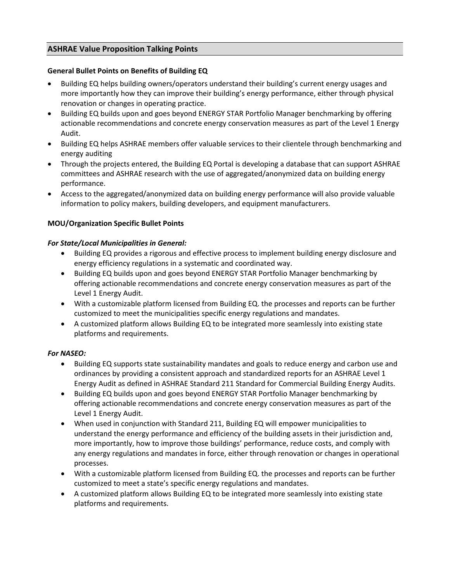# <span id="page-4-0"></span>**ASHRAE Value Proposition Talking Points**

# **General Bullet Points on Benefits of Building EQ**

- Building EQ helps building owners/operators understand their building's current energy usages and more importantly how they can improve their building's energy performance, either through physical renovation or changes in operating practice.
- Building EQ builds upon and goes beyond ENERGY STAR Portfolio Manager benchmarking by offering actionable recommendations and concrete energy conservation measures as part of the Level 1 Energy Audit.
- Building EQ helps ASHRAE members offer valuable services to their clientele through benchmarking and energy auditing
- Through the projects entered, the Building EQ Portal is developing a database that can support ASHRAE committees and ASHRAE research with the use of aggregated/anonymized data on building energy performance.
- Access to the aggregated/anonymized data on building energy performance will also provide valuable information to policy makers, building developers, and equipment manufacturers.

# **MOU/Organization Specific Bullet Points**

## *For State/Local Municipalities in General:*

- Building EQ provides a rigorous and effective process to implement building energy disclosure and energy efficiency regulations in a systematic and coordinated way.
- Building EQ builds upon and goes beyond ENERGY STAR Portfolio Manager benchmarking by offering actionable recommendations and concrete energy conservation measures as part of the Level 1 Energy Audit.
- With a customizable platform licensed from Building EQ. the processes and reports can be further customized to meet the municipalities specific energy regulations and mandates.
- A customized platform allows Building EQ to be integrated more seamlessly into existing state platforms and requirements.

## *For NASEO:*

- Building EQ supports state sustainability mandates and goals to reduce energy and carbon use and ordinances by providing a consistent approach and standardized reports for an ASHRAE Level 1 Energy Audit as defined in ASHRAE Standard 211 Standard for Commercial Building Energy Audits.
- Building EQ builds upon and goes beyond ENERGY STAR Portfolio Manager benchmarking by offering actionable recommendations and concrete energy conservation measures as part of the Level 1 Energy Audit.
- When used in conjunction with Standard 211, Building EQ will empower municipalities to understand the energy performance and efficiency of the building assets in their jurisdiction and, more importantly, how to improve those buildings' performance, reduce costs, and comply with any energy regulations and mandates in force, either through renovation or changes in operational processes.
- With a customizable platform licensed from Building EQ. the processes and reports can be further customized to meet a state's specific energy regulations and mandates.
- A customized platform allows Building EQ to be integrated more seamlessly into existing state platforms and requirements.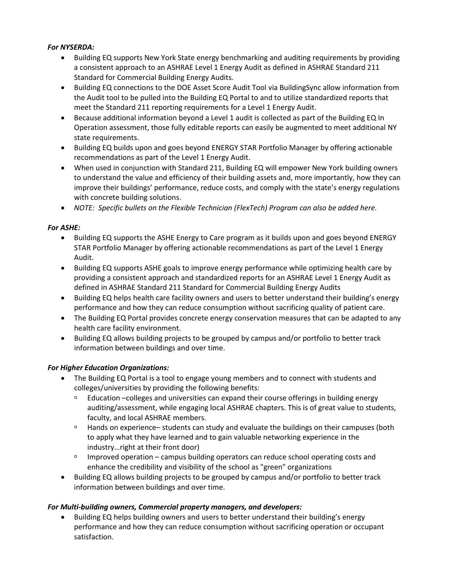# *For NYSERDA:*

- Building EQ supports New York State energy benchmarking and auditing requirements by providing a consistent approach to an ASHRAE Level 1 Energy Audit as defined in ASHRAE Standard 211 Standard for Commercial Building Energy Audits.
- Building EQ connections to the DOE Asset Score Audit Tool via BuildingSync allow information from the Audit tool to be pulled into the Building EQ Portal to and to utilize standardized reports that meet the Standard 211 reporting requirements for a Level 1 Energy Audit.
- Because additional information beyond a Level 1 audit is collected as part of the Building EQ In Operation assessment, those fully editable reports can easily be augmented to meet additional NY state requirements.
- Building EQ builds upon and goes beyond ENERGY STAR Portfolio Manager by offering actionable recommendations as part of the Level 1 Energy Audit.
- When used in conjunction with Standard 211, Building EQ will empower New York building owners to understand the value and efficiency of their building assets and, more importantly, how they can improve their buildings' performance, reduce costs, and comply with the state's energy regulations with concrete building solutions.
- *NOTE: Specific bullets on the Flexible Technician (FlexTech) Program can also be added here.*

# *For ASHE:*

- Building EQ supports the ASHE Energy to Care program as it builds upon and goes beyond ENERGY STAR Portfolio Manager by offering actionable recommendations as part of the Level 1 Energy Audit.
- Building EQ supports ASHE goals to improve energy performance while optimizing health care by providing a consistent approach and standardized reports for an ASHRAE Level 1 Energy Audit as defined in ASHRAE Standard 211 Standard for Commercial Building Energy Audits
- Building EQ helps health care facility owners and users to better understand their building's energy performance and how they can reduce consumption without sacrificing quality of patient care.
- The Building EQ Portal provides concrete energy conservation measures that can be adapted to any health care facility environment.
- Building EQ allows building projects to be grouped by campus and/or portfolio to better track information between buildings and over time.

# *For Higher Education Organizations:*

- The Building EQ Portal is a tool to engage young members and to connect with students and colleges/universities by providing the following benefits:
	- Education –colleges and universities can expand their course offerings in building energy auditing/assessment, while engaging local ASHRAE chapters. This is of great value to students, faculty, and local ASHRAE members.
	- Hands on experience– students can study and evaluate the buildings on their campuses (both to apply what they have learned and to gain valuable networking experience in the industry…right at their front door)
	- $\Box$  Improved operation campus building operators can reduce school operating costs and enhance the credibility and visibility of the school as "green" organizations
- Building EQ allows building projects to be grouped by campus and/or portfolio to better track information between buildings and over time.

# *For Multi-building owners, Commercial property managers, and developers:*

• Building EQ helps building owners and users to better understand their building's energy performance and how they can reduce consumption without sacrificing operation or occupant satisfaction.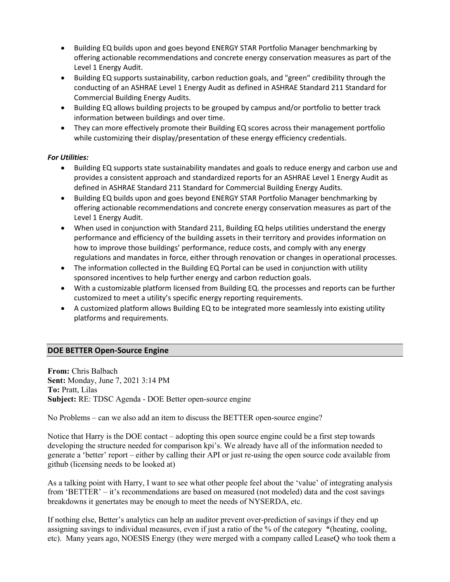- Building EQ builds upon and goes beyond ENERGY STAR Portfolio Manager benchmarking by offering actionable recommendations and concrete energy conservation measures as part of the Level 1 Energy Audit.
- Building EQ supports sustainability, carbon reduction goals, and "green" credibility through the conducting of an ASHRAE Level 1 Energy Audit as defined in ASHRAE Standard 211 Standard for Commercial Building Energy Audits.
- Building EQ allows building projects to be grouped by campus and/or portfolio to better track information between buildings and over time.
- They can more effectively promote their Building EQ scores across their management portfolio while customizing their display/presentation of these energy efficiency credentials.

# *For Utilities:*

- Building EQ supports state sustainability mandates and goals to reduce energy and carbon use and provides a consistent approach and standardized reports for an ASHRAE Level 1 Energy Audit as defined in ASHRAE Standard 211 Standard for Commercial Building Energy Audits.
- Building EQ builds upon and goes beyond ENERGY STAR Portfolio Manager benchmarking by offering actionable recommendations and concrete energy conservation measures as part of the Level 1 Energy Audit.
- When used in conjunction with Standard 211, Building EQ helps utilities understand the energy performance and efficiency of the building assets in their territory and provides information on how to improve those buildings' performance, reduce costs, and comply with any energy regulations and mandates in force, either through renovation or changes in operational processes.
- The information collected in the Building EQ Portal can be used in conjunction with utility sponsored incentives to help further energy and carbon reduction goals.
- With a customizable platform licensed from Building EQ. the processes and reports can be further customized to meet a utility's specific energy reporting requirements.
- A customized platform allows Building EQ to be integrated more seamlessly into existing utility platforms and requirements.

# <span id="page-6-0"></span>**DOE BETTER Open-Source Engine**

**From:** Chris Balbach **Sent:** Monday, June 7, 2021 3:14 PM **To:** Pratt, Lilas **Subject:** RE: TDSC Agenda - DOE Better open-source engine

No Problems – can we also add an item to discuss the BETTER open-source engine?

Notice that Harry is the DOE contact – adopting this open source engine could be a first step towards developing the structure needed for comparison kpi's. We already have all of the information needed to generate a 'better' report – either by calling their API or just re-using the open source code available from github (licensing needs to be looked at)

As a talking point with Harry, I want to see what other people feel about the 'value' of integrating analysis from 'BETTER' – it's recommendations are based on measured (not modeled) data and the cost savings breakdowns it genertates may be enough to meet the needs of NYSERDA, etc.

If nothing else, Better's analytics can help an auditor prevent over-prediction of savings if they end up assigning savings to individual measures, even if just a ratio of the % of the category \*(heating, cooling, etc). Many years ago, NOESIS Energy (they were merged with a company called LeaseQ who took them a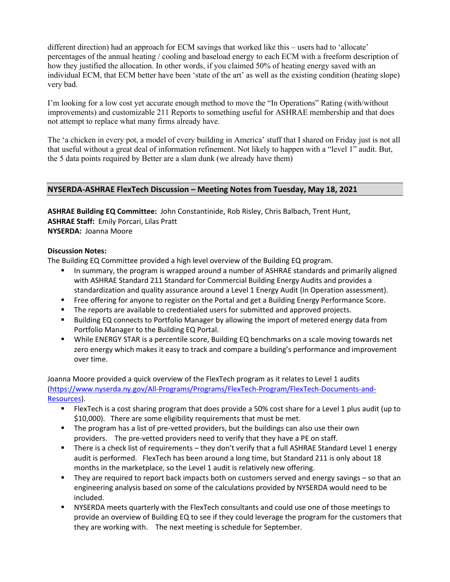different direction) had an approach for ECM savings that worked like this – users had to 'allocate' percentages of the annual heating / cooling and baseload energy to each ECM with a freeform description of how they justified the allocation. In other words, if you claimed 50% of heating energy saved with an individual ECM, that ECM better have been 'state of the art' as well as the existing condition (heating slope) very bad.

I'm looking for a low cost yet accurate enough method to move the "In Operations" Rating (with/without improvements) and customizable 211 Reports to something useful for ASHRAE membership and that does not attempt to replace what many firms already have.

The 'a chicken in every pot, a model of every building in America' stuff that I shared on Friday just is not all that useful without a great deal of information refinement. Not likely to happen with a "level 1" audit. But, the 5 data points required by Better are a slam dunk (we already have them)

# <span id="page-7-0"></span>**NYSERDA-ASHRAE FlexTech Discussion – Meeting Notes from Tuesday, May 18, 2021**

**ASHRAE Building EQ Committee:** John Constantinide, Rob Risley, Chris Balbach, Trent Hunt, **ASHRAE Staff:** Emily Porcari, Lilas Pratt **NYSERDA:** Joanna Moore

## **Discussion Notes:**

The Building EQ Committee provided a high level overview of the Building EQ program.

- **In summary, the program is wrapped around a number of ASHRAE standards and primarily aligned** with ASHRAE Standard 211 Standard for Commercial Building Energy Audits and provides a standardization and quality assurance around a Level 1 Energy Audit (In Operation assessment).
- Free offering for anyone to register on the Portal and get a Building Energy Performance Score.
- The reports are available to credentialed users for submitted and approved projects.
- Building EQ connects to Portfolio Manager by allowing the import of metered energy data from Portfolio Manager to the Building EQ Portal.
- While ENERGY STAR is a percentile score, Building EQ benchmarks on a scale moving towards net zero energy which makes it easy to track and compare a building's performance and improvement over time.

Joanna Moore provided a quick overview of the FlexTech program as it relates to Level 1 audits [\(https://www.nyserda.ny.gov/All-Programs/Programs/FlexTech-Program/FlexTech-Documents-and-](https://www.nyserda.ny.gov/All-Programs/Programs/FlexTech-Program/FlexTech-Documents-and-Resources)[Resources\)](https://www.nyserda.ny.gov/All-Programs/Programs/FlexTech-Program/FlexTech-Documents-and-Resources).

- FlexTech is a cost sharing program that does provide a 50% cost share for a Level 1 plus audit (up to \$10,000). There are some eligibility requirements that must be met.
- The program has a list of pre-vetted providers, but the buildings can also use their own providers. The pre-vetted providers need to verify that they have a PE on staff.
- There is a check list of requirements they don't verify that a full ASHRAE Standard Level 1 energy audit is performed. FlexTech has been around a long time, but Standard 211 is only about 18 months in the marketplace, so the Level 1 audit is relatively new offering.
- **They are required to report back impacts both on customers served and energy savings so that an** engineering analysis based on some of the calculations provided by NYSERDA would need to be included.
- NYSERDA meets quarterly with the FlexTech consultants and could use one of those meetings to provide an overview of Building EQ to see if they could leverage the program for the customers that they are working with. The next meeting is schedule for September.